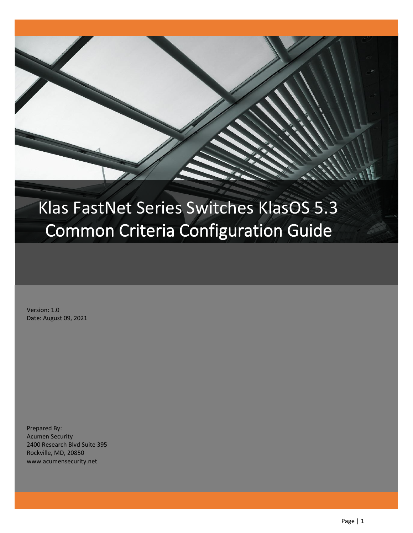# Klas FastNet Series Switches KlasOS 5.3 Common Criteria Configuration Guide

Version: 1.0 Date: August 09, 2021

Prepared By: Acumen Security 2400 Research Blvd Suite 395 Rockville, MD, 20850 www.acumensecurity.net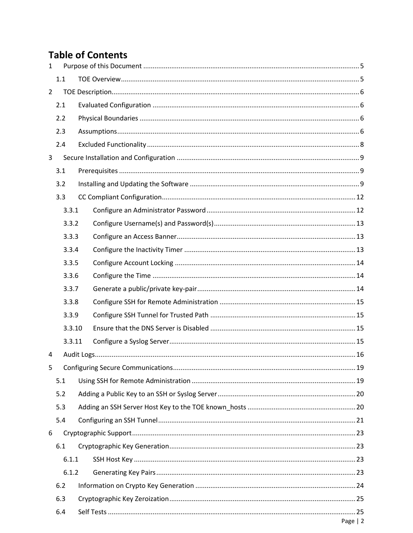# **Table of Contents**

| $\mathbf{1}$   |                         |  |  |  |  |  |  |  |
|----------------|-------------------------|--|--|--|--|--|--|--|
|                | 1.1                     |  |  |  |  |  |  |  |
| $\overline{2}$ |                         |  |  |  |  |  |  |  |
|                | 2.1                     |  |  |  |  |  |  |  |
| 2.2            |                         |  |  |  |  |  |  |  |
|                | 2.3                     |  |  |  |  |  |  |  |
|                | 2.4                     |  |  |  |  |  |  |  |
| $\mathbf{3}$   |                         |  |  |  |  |  |  |  |
|                | 3.1                     |  |  |  |  |  |  |  |
|                | 3.2                     |  |  |  |  |  |  |  |
|                | 3.3                     |  |  |  |  |  |  |  |
|                | 3.3.1                   |  |  |  |  |  |  |  |
|                | 3.3.2                   |  |  |  |  |  |  |  |
|                | 3.3.3                   |  |  |  |  |  |  |  |
|                | 3.3.4                   |  |  |  |  |  |  |  |
|                | 3.3.5                   |  |  |  |  |  |  |  |
|                | 3.3.6                   |  |  |  |  |  |  |  |
|                | 3.3.7<br>3.3.8<br>3.3.9 |  |  |  |  |  |  |  |
|                |                         |  |  |  |  |  |  |  |
|                |                         |  |  |  |  |  |  |  |
|                | 3.3.10                  |  |  |  |  |  |  |  |
|                | 3.3.11                  |  |  |  |  |  |  |  |
| 4              |                         |  |  |  |  |  |  |  |
| 5              |                         |  |  |  |  |  |  |  |
|                | 5.1                     |  |  |  |  |  |  |  |
|                | 5.2                     |  |  |  |  |  |  |  |
|                | 5.3                     |  |  |  |  |  |  |  |
|                | 5.4                     |  |  |  |  |  |  |  |
| 6              |                         |  |  |  |  |  |  |  |
|                | 6.1                     |  |  |  |  |  |  |  |
|                | 6.1.1                   |  |  |  |  |  |  |  |
|                | 6.1.2                   |  |  |  |  |  |  |  |
|                | 6.2                     |  |  |  |  |  |  |  |
|                | 6.3                     |  |  |  |  |  |  |  |
|                | 6.4                     |  |  |  |  |  |  |  |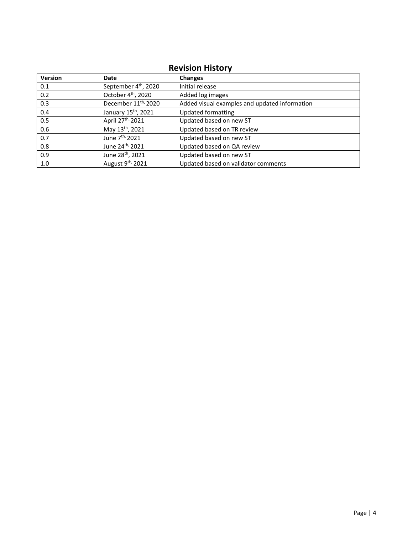# **Revision History**

| <b>Version</b> | Date                             | <b>Changes</b>                                |
|----------------|----------------------------------|-----------------------------------------------|
| 0.1            | September 4 <sup>th</sup> , 2020 | Initial release                               |
| 0.2            | October 4 <sup>th</sup> , 2020   | Added log images                              |
| 0.3            | December 11 <sup>th,</sup> 2020  | Added visual examples and updated information |
| 0.4            | January 15 <sup>th</sup> , 2021  | <b>Updated formatting</b>                     |
| 0.5            | April 27 <sup>th,</sup> 2021     | Updated based on new ST                       |
| 0.6            | May 13th, 2021                   | Updated based on TR review                    |
| 0.7            | June 7 <sup>th,</sup> 2021       | Updated based on new ST                       |
| 0.8            | June 24 <sup>th,</sup> 2021      | Updated based on QA review                    |
| 0.9            | June 28 <sup>th</sup> , 2021     | Updated based on new ST                       |
| 1.0            | August 9 <sup>th,</sup> 2021     | Updated based on validator comments           |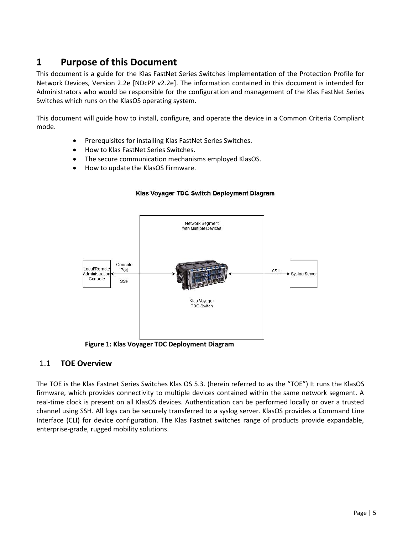# <span id="page-4-0"></span>**1 Purpose of this Document**

This document is a guide for the Klas FastNet Series Switches implementation of the Protection Profile for Network Devices, Version 2.2e [NDcPP v2.2e]. The information contained in this document is intended for Administrators who would be responsible for the configuration and management of the Klas FastNet Series Switches which runs on the KlasOS operating system.

This document will guide how to install, configure, and operate the device in a Common Criteria Compliant mode.

- Prerequisites for installing Klas FastNet Series Switches.
- How to Klas FastNet Series Switches.
- The secure communication mechanisms employed KlasOS.
- How to update the KlasOS Firmware.



### Klas Voyager TDC Switch Deployment Diagram

**Figure 1: Klas Voyager TDC Deployment Diagram**

### <span id="page-4-1"></span>1.1 **TOE Overview**

The TOE is the Klas Fastnet Series Switches Klas OS 5.3. (herein referred to as the "TOE") It runs the KlasOS firmware, which provides connectivity to multiple devices contained within the same network segment. A real-time clock is present on all KlasOS devices. Authentication can be performed locally or over a trusted channel using SSH. All logs can be securely transferred to a syslog server. KlasOS provides a Command Line Interface (CLI) for device configuration. The Klas Fastnet switches range of products provide expandable, enterprise-grade, rugged mobility solutions.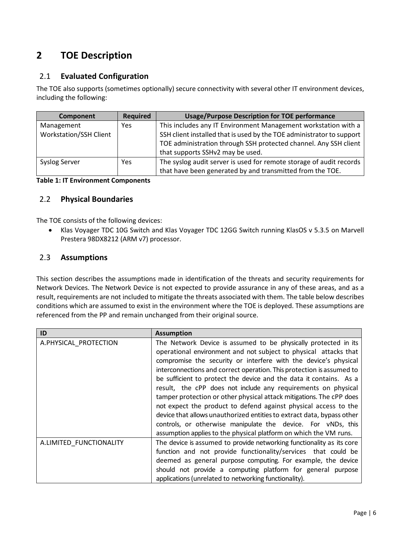# <span id="page-5-0"></span>**2 TOE Description**

# <span id="page-5-1"></span>2.1 **Evaluated Configuration**

The TOE also supports (sometimes optionally) secure connectivity with several other IT environment devices, including the following:

| Component                                   | Required | <b>Usage/Purpose Description for TOE performance</b>                                                                                                                                                                                            |
|---------------------------------------------|----------|-------------------------------------------------------------------------------------------------------------------------------------------------------------------------------------------------------------------------------------------------|
| Management<br><b>Workstation/SSH Client</b> | Yes      | This includes any IT Environment Management workstation with a<br>SSH client installed that is used by the TOE administrator to support<br>TOE administration through SSH protected channel. Any SSH client<br>that supports SSHv2 may be used. |
| <b>Syslog Server</b>                        | Yes      | The syslog audit server is used for remote storage of audit records<br>that have been generated by and transmitted from the TOE.                                                                                                                |

### **Table 1: IT Environment Components**

# <span id="page-5-2"></span>2.2 **Physical Boundaries**

The TOE consists of the following devices:

• Klas Voyager TDC 10G Switch and Klas Voyager TDC 12GG Switch running KlasOS v 5.3.5 on Marvell Prestera 98DX8212 (ARM v7) processor.

## <span id="page-5-3"></span>2.3 **Assumptions**

This section describes the assumptions made in identification of the threats and security requirements for Network Devices. The Network Device is not expected to provide assurance in any of these areas, and as a result, requirements are not included to mitigate the threats associated with them. The table below describes conditions which are assumed to exist in the environment where the TOE is deployed. These assumptions are referenced from the PP and remain unchanged from their original source.

| ID                      | <b>Assumption</b>                                                      |
|-------------------------|------------------------------------------------------------------------|
| A.PHYSICAL PROTECTION   | The Network Device is assumed to be physically protected in its        |
|                         | operational environment and not subject to physical attacks that       |
|                         | compromise the security or interfere with the device's physical        |
|                         | interconnections and correct operation. This protection is assumed to  |
|                         | be sufficient to protect the device and the data it contains. As a     |
|                         | result, the cPP does not include any requirements on physical          |
|                         | tamper protection or other physical attack mitigations. The cPP does   |
|                         | not expect the product to defend against physical access to the        |
|                         | device that allows unauthorized entities to extract data, bypass other |
|                         | controls, or otherwise manipulate the device. For vNDs, this           |
|                         | assumption applies to the physical platform on which the VM runs.      |
| A.LIMITED FUNCTIONALITY | The device is assumed to provide networking functionality as its core  |
|                         | function and not provide functionality/services that could be          |
|                         | deemed as general purpose computing. For example, the device           |
|                         | should not provide a computing platform for general purpose            |
|                         | applications (unrelated to networking functionality).                  |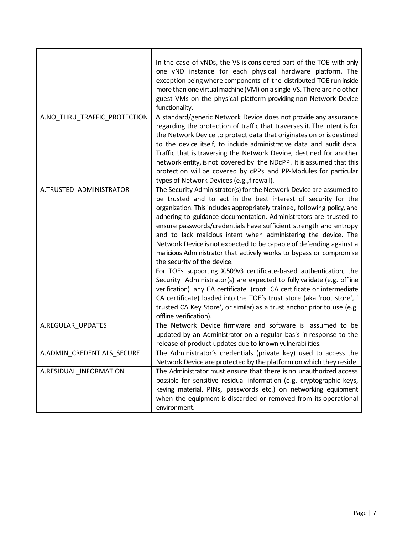| In the case of vNDs, the VS is considered part of the TOE with only<br>one vND instance for each physical hardware platform. The<br>exception being where components of the distributed TOE run inside<br>more than one virtual machine (VM) on a single VS. There are no other<br>guest VMs on the physical platform providing non-Network Device<br>functionality.<br>A.NO_THRU_TRAFFIC_PROTECTION<br>A standard/generic Network Device does not provide any assurance<br>regarding the protection of traffic that traverses it. The intent is for<br>the Network Device to protect data that originates on or is destined<br>to the device itself, to include administrative data and audit data.<br>Traffic that is traversing the Network Device, destined for another<br>network entity, is not covered by the NDcPP. It is assumed that this<br>protection will be covered by cPPs and PP-Modules for particular<br>types of Network Devices (e.g., firewall).<br>The Security Administrator(s) for the Network Device are assumed to<br>A.TRUSTED_ADMINISTRATOR |
|-------------------------------------------------------------------------------------------------------------------------------------------------------------------------------------------------------------------------------------------------------------------------------------------------------------------------------------------------------------------------------------------------------------------------------------------------------------------------------------------------------------------------------------------------------------------------------------------------------------------------------------------------------------------------------------------------------------------------------------------------------------------------------------------------------------------------------------------------------------------------------------------------------------------------------------------------------------------------------------------------------------------------------------------------------------------------|
|                                                                                                                                                                                                                                                                                                                                                                                                                                                                                                                                                                                                                                                                                                                                                                                                                                                                                                                                                                                                                                                                         |
|                                                                                                                                                                                                                                                                                                                                                                                                                                                                                                                                                                                                                                                                                                                                                                                                                                                                                                                                                                                                                                                                         |
|                                                                                                                                                                                                                                                                                                                                                                                                                                                                                                                                                                                                                                                                                                                                                                                                                                                                                                                                                                                                                                                                         |
|                                                                                                                                                                                                                                                                                                                                                                                                                                                                                                                                                                                                                                                                                                                                                                                                                                                                                                                                                                                                                                                                         |
|                                                                                                                                                                                                                                                                                                                                                                                                                                                                                                                                                                                                                                                                                                                                                                                                                                                                                                                                                                                                                                                                         |
|                                                                                                                                                                                                                                                                                                                                                                                                                                                                                                                                                                                                                                                                                                                                                                                                                                                                                                                                                                                                                                                                         |
|                                                                                                                                                                                                                                                                                                                                                                                                                                                                                                                                                                                                                                                                                                                                                                                                                                                                                                                                                                                                                                                                         |
|                                                                                                                                                                                                                                                                                                                                                                                                                                                                                                                                                                                                                                                                                                                                                                                                                                                                                                                                                                                                                                                                         |
|                                                                                                                                                                                                                                                                                                                                                                                                                                                                                                                                                                                                                                                                                                                                                                                                                                                                                                                                                                                                                                                                         |
| be trusted and to act in the best interest of security for the                                                                                                                                                                                                                                                                                                                                                                                                                                                                                                                                                                                                                                                                                                                                                                                                                                                                                                                                                                                                          |
| organization. This includes appropriately trained, following policy, and                                                                                                                                                                                                                                                                                                                                                                                                                                                                                                                                                                                                                                                                                                                                                                                                                                                                                                                                                                                                |
| adhering to guidance documentation. Administrators are trusted to                                                                                                                                                                                                                                                                                                                                                                                                                                                                                                                                                                                                                                                                                                                                                                                                                                                                                                                                                                                                       |
| ensure passwords/credentials have sufficient strength and entropy                                                                                                                                                                                                                                                                                                                                                                                                                                                                                                                                                                                                                                                                                                                                                                                                                                                                                                                                                                                                       |
| and to lack malicious intent when administering the device. The                                                                                                                                                                                                                                                                                                                                                                                                                                                                                                                                                                                                                                                                                                                                                                                                                                                                                                                                                                                                         |
| Network Device is not expected to be capable of defending against a<br>malicious Administrator that actively works to bypass or compromise                                                                                                                                                                                                                                                                                                                                                                                                                                                                                                                                                                                                                                                                                                                                                                                                                                                                                                                              |
| the security of the device.                                                                                                                                                                                                                                                                                                                                                                                                                                                                                                                                                                                                                                                                                                                                                                                                                                                                                                                                                                                                                                             |
| For TOEs supporting X.509v3 certificate-based authentication, the                                                                                                                                                                                                                                                                                                                                                                                                                                                                                                                                                                                                                                                                                                                                                                                                                                                                                                                                                                                                       |
| Security Administrator(s) are expected to fully validate (e.g. offline                                                                                                                                                                                                                                                                                                                                                                                                                                                                                                                                                                                                                                                                                                                                                                                                                                                                                                                                                                                                  |
| verification) any CA certificate (root CA certificate or intermediate                                                                                                                                                                                                                                                                                                                                                                                                                                                                                                                                                                                                                                                                                                                                                                                                                                                                                                                                                                                                   |
| CA certificate) loaded into the TOE's trust store (aka 'root store', '                                                                                                                                                                                                                                                                                                                                                                                                                                                                                                                                                                                                                                                                                                                                                                                                                                                                                                                                                                                                  |
| trusted CA Key Store', or similar) as a trust anchor prior to use (e.g.                                                                                                                                                                                                                                                                                                                                                                                                                                                                                                                                                                                                                                                                                                                                                                                                                                                                                                                                                                                                 |
| offline verification).                                                                                                                                                                                                                                                                                                                                                                                                                                                                                                                                                                                                                                                                                                                                                                                                                                                                                                                                                                                                                                                  |
| The Network Device firmware and software is assumed to be<br>A.REGULAR_UPDATES                                                                                                                                                                                                                                                                                                                                                                                                                                                                                                                                                                                                                                                                                                                                                                                                                                                                                                                                                                                          |
| updated by an Administrator on a regular basis in response to the                                                                                                                                                                                                                                                                                                                                                                                                                                                                                                                                                                                                                                                                                                                                                                                                                                                                                                                                                                                                       |
| release of product updates due to known vulnerabilities.                                                                                                                                                                                                                                                                                                                                                                                                                                                                                                                                                                                                                                                                                                                                                                                                                                                                                                                                                                                                                |
| A.ADMIN_CREDENTIALS_SECURE<br>The Administrator's credentials (private key) used to access the                                                                                                                                                                                                                                                                                                                                                                                                                                                                                                                                                                                                                                                                                                                                                                                                                                                                                                                                                                          |
| Network Device are protected by the platform on which they reside.                                                                                                                                                                                                                                                                                                                                                                                                                                                                                                                                                                                                                                                                                                                                                                                                                                                                                                                                                                                                      |
| The Administrator must ensure that there is no unauthorized access<br>A.RESIDUAL_INFORMATION                                                                                                                                                                                                                                                                                                                                                                                                                                                                                                                                                                                                                                                                                                                                                                                                                                                                                                                                                                            |
| possible for sensitive residual information (e.g. cryptographic keys,                                                                                                                                                                                                                                                                                                                                                                                                                                                                                                                                                                                                                                                                                                                                                                                                                                                                                                                                                                                                   |
| keying material, PINs, passwords etc.) on networking equipment<br>when the equipment is discarded or removed from its operational                                                                                                                                                                                                                                                                                                                                                                                                                                                                                                                                                                                                                                                                                                                                                                                                                                                                                                                                       |
| environment.                                                                                                                                                                                                                                                                                                                                                                                                                                                                                                                                                                                                                                                                                                                                                                                                                                                                                                                                                                                                                                                            |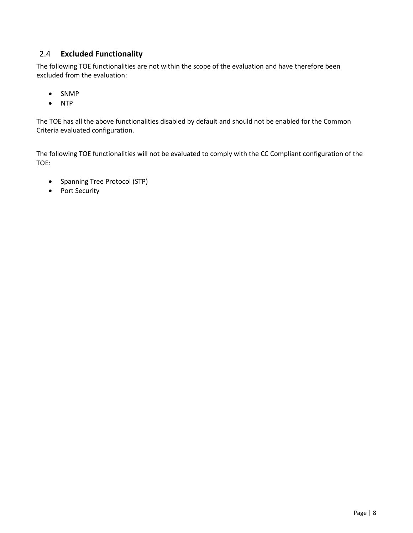# <span id="page-7-0"></span>2.4 **Excluded Functionality**

The following TOE functionalities are not within the scope of the evaluation and have therefore been excluded from the evaluation:

- SNMP
- NTP

The TOE has all the above functionalities disabled by default and should not be enabled for the Common Criteria evaluated configuration.

The following TOE functionalities will not be evaluated to comply with the CC Compliant configuration of the TOE:

- Spanning Tree Protocol (STP)
- Port Security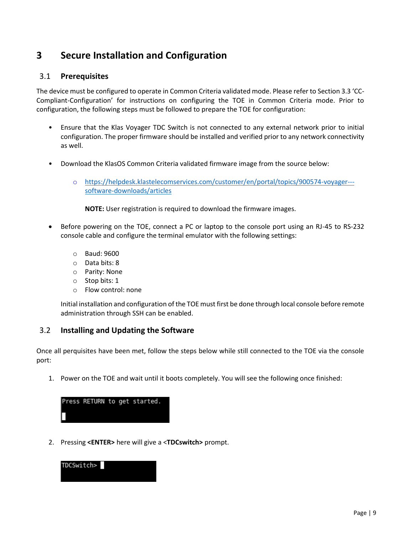# <span id="page-8-0"></span>**3 Secure Installation and Configuration**

## <span id="page-8-1"></span>3.1 **Prerequisites**

The device must be configured to operate in Common Criteria validated mode. Please refer to Section 3.3 'CC-Compliant-Configuration' for instructions on configuring the TOE in Common Criteria mode. Prior to configuration, the following steps must be followed to prepare the TOE for configuration:

- Ensure that the Klas Voyager TDC Switch is not connected to any external network prior to initial configuration. The proper firmware should be installed and verified prior to any network connectivity as well.
- Download the KlasOS Common Criteria validated firmware image from the source below:
	- o [https://helpdesk.klastelecomservices.com/customer/en/portal/topics/900574-voyager--](https://helpdesk.klastelecomservices.com/customer/en/portal/topics/900574-voyager---software-downloads/articles) [software-downloads/articles](https://helpdesk.klastelecomservices.com/customer/en/portal/topics/900574-voyager---software-downloads/articles)

**NOTE:** User registration is required to download the firmware images.

- Before powering on the TOE, connect a PC or laptop to the console port using an RJ-45 to RS-232 console cable and configure the terminal emulator with the following settings:
	- o Baud: 9600
	- o Data bits: 8
	- o Parity: None
	- o Stop bits: 1
	- o Flow control: none

Initial installation and configuration of the TOE must first be done through local console before remote administration through SSH can be enabled.

# <span id="page-8-2"></span>3.2 **Installing and Updating the Software**

Once all perquisites have been met, follow the steps below while still connected to the TOE via the console port:

1. Power on the TOE and wait until it boots completely. You will see the following once finished:

|   |  | Press RETURN to get started. |
|---|--|------------------------------|
| ┖ |  |                              |

2. Pressing **<ENTER>** here will give a <**TDCswitch>** prompt.

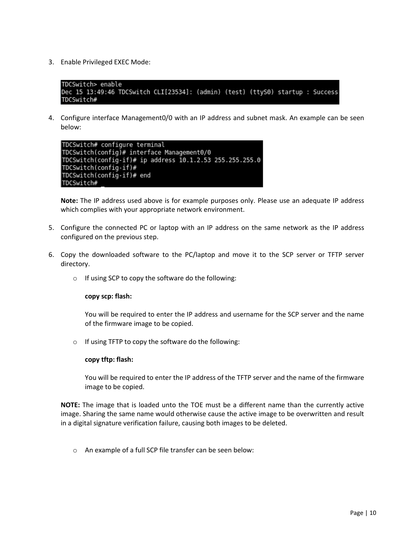3. Enable Privileged EXEC Mode:

```
TDCSwitch> enable
Dec 15 13:49:46 TDCSwitch CLI[23534]: (admin) (test) (ttyS0) startup : Success
TDCSwitch#
```
4. Configure interface Management0/0 with an IP address and subnet mask. An example can be seen below:

```
TDCSwitch# configure terminal
TDCSwitch(config)# interface Management0/0
TDCSwitch(config-if)# ip address 10.1.2.53 255.255.255.0
TDCSwitch(config-if)#
TDCSwitch(config-if)# end
|TDCSwitch#
```
**Note:** The IP address used above is for example purposes only. Please use an adequate IP address which complies with your appropriate network environment.

- 5. Configure the connected PC or laptop with an IP address on the same network as the IP address configured on the previous step.
- 6. Copy the downloaded software to the PC/laptop and move it to the SCP server or TFTP server directory.
	- o If using SCP to copy the software do the following:

#### **copy scp: flash:**

You will be required to enter the IP address and username for the SCP server and the name of the firmware image to be copied.

o If using TFTP to copy the software do the following:

#### **copy tftp: flash:**

You will be required to enter the IP address of the TFTP server and the name of the firmware image to be copied.

**NOTE:** The image that is loaded unto the TOE must be a different name than the currently active image. Sharing the same name would otherwise cause the active image to be overwritten and result in a digital signature verification failure, causing both images to be deleted.

o An example of a full SCP file transfer can be seen below: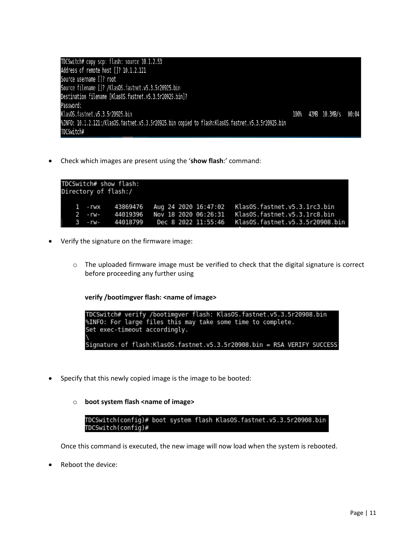| TDCSwitch# copy scp: flash: source 10.1.2.53                                                       |  |                          |  |
|----------------------------------------------------------------------------------------------------|--|--------------------------|--|
| Address of remote host []? 10.1.2.121                                                              |  |                          |  |
| Source username []? root                                                                           |  |                          |  |
| Source filename []? /KlasOS.fastnet.v5.3.5r20925.bin                                               |  |                          |  |
| Destination filename [KlasOS.fastnet.v5.3.5r20925.bin]?                                            |  |                          |  |
| Password:                                                                                          |  |                          |  |
| KlasOS.fastnet.v5.3.5r20925.bin                                                                    |  | 100% 42MB 10.3MB/s 00:04 |  |
| %INFO: 10.1.2.121:/KlasOS.fastnet.v5.3.5r20925.bin copied to flash:KlasOS.fastnet.v5.3.5r20925.bin |  |                          |  |
| TDCSwitch#                                                                                         |  |                          |  |

• Check which images are present using the '**show flash**:' command:

| TDCSwitch# show flash:<br>Directory of flash:/ |          |                  |                                       |  |                                 |  |
|------------------------------------------------|----------|------------------|---------------------------------------|--|---------------------------------|--|
|                                                |          |                  | 1 - rwx 43869476 Aug 24 2020 16:47:02 |  | KlasOS.fastnet.v5.3.1rc3.bin    |  |
|                                                | $2 - rw$ | 44019396         | Nov 18 2020 06:26:31                  |  | KlasOS.fastnet.v5.3.1rc8.bin    |  |
|                                                |          | 3 - rw- 44018799 | Dec 8 2022 11:55:46                   |  | KlasOS.fastnet.v5.3.5r20908.bin |  |

- Verify the signature on the firmware image:
	- $\circ$  The uploaded firmware image must be verified to check that the digital signature is correct before proceeding any further using

**verify /bootimgver flash: <name of image>**

```
TDCSwitch# verify /bootimgver flash: KlasOS.fastnet.v5.3.5r20908.bin<br>%INFO: For large files this may take some time to complete.
Set exec-timeout accordingly.
Signature of flash:KlasOS.fastnet.v5.3.5r20908.bin = RSA VERIFY SUCCESS
```
• Specify that this newly copied image is the image to be booted:

#### o **boot system flash <name of image>**

TDCSwitch(config)# boot system flash KlasOS.fastnet.v5.3.5r20908.bin TDCSwitch(config)#

Once this command is executed, the new image will now load when the system is rebooted.

• Reboot the device: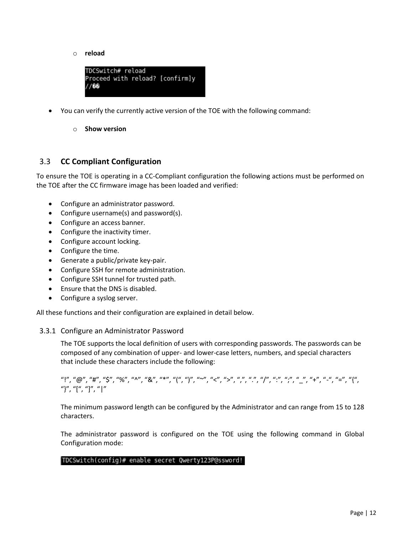o **reload**



- You can verify the currently active version of the TOE with the following command:
	- o **Show version**

### <span id="page-11-0"></span>3.3 **CC Compliant Configuration**

To ensure the TOE is operating in a CC-Compliant configuration the following actions must be performed on the TOE after the CC firmware image has been loaded and verified:

- Configure an administrator password.
- Configure username(s) and password(s).
- Configure an access banner.
- Configure the inactivity timer.
- Configure account locking.
- Configure the time.
- Generate a public/private key-pair.
- Configure SSH for remote administration.
- Configure SSH tunnel for trusted path.
- Ensure that the DNS is disabled.
- Configure a syslog server.

All these functions and their configuration are explained in detail below.

#### <span id="page-11-1"></span>3.3.1 Configure an Administrator Password

The TOE supports the local definition of users with corresponding passwords. The passwords can be composed of any combination of upper- and lower-case letters, numbers, and special characters that include these characters include the following:

## "!", "@", "#", "\$", "%", "^", "&", "\*", "(", ")", "~", "<", ">", ",", ".", "/", ":", ";", "\_", "+", "-", "=", "{", "}", "[", "]", "|"

The minimum password length can be configured by the Administrator and can range from 15 to 128 characters.

The administrator password is configured on the TOE using the following command in Global Configuration mode:

#### |TDCSwitch(config)# enable secret Qwerty123P@ssword!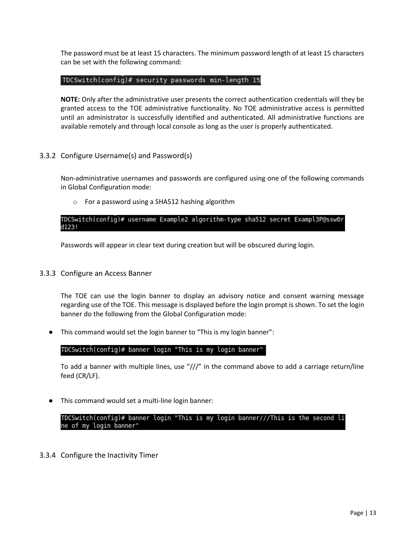The password must be at least 15 characters. The minimum password length of at least 15 characters can be set with the following command:

### TDCSwitch(config)# security passwords min-length 15

**NOTE:** Only after the administrative user presents the correct authentication credentials will they be granted access to the TOE administrative functionality. No TOE administrative access is permitted until an administrator is successfully identified and authenticated. All administrative functions are available remotely and through local console as long as the user is properly authenticated.

### <span id="page-12-0"></span>3.3.2 Configure Username(s) and Password(s)

Non-administrative usernames and passwords are configured using one of the following commands in Global Configuration mode:

o For a password using a SHA512 hashing algorithm

### TDCSwitch(config)# username Example2 algorithm-type sha512 secret Exampl3P@ssw0r d123!

Passwords will appear in clear text during creation but will be obscured during login.

### <span id="page-12-1"></span>3.3.3 Configure an Access Banner

The TOE can use the login banner to display an advisory notice and consent warning message regarding use of the TOE. This message is displayed before the login prompt is shown. To set the login banner do the following from the Global Configuration mode:

● This command would set the login banner to "This is my login banner":

### TDCSwitch(config)# banner login "This is my login banner"

To add a banner with multiple lines, use "///" in the command above to add a carriage return/line feed (CR/LF).

● This command would set a multi-line login banner:

TDCSwitch(config)# banner login "This is my login banner///This is the second li ne of my login banner"

<span id="page-12-2"></span>3.3.4 Configure the Inactivity Timer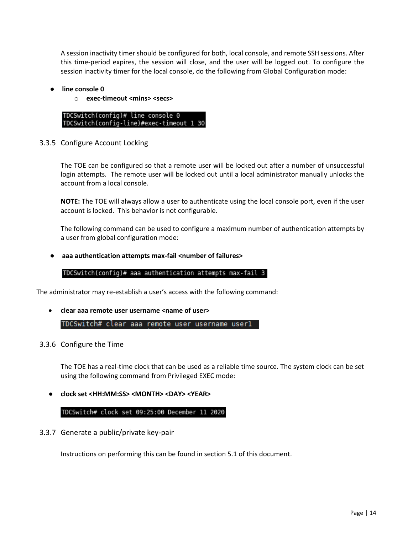A session inactivity timer should be configured for both, local console, and remote SSH sessions. After this time-period expires, the session will close, and the user will be logged out. To configure the session inactivity timer for the local console, do the following from Global Configuration mode:

- **line console 0** 
	- o **exec-timeout <mins> <secs>**

TDCSwitch(config)# line console 0 TDCSwitch(config-line)#exec-timeout 1 30

### <span id="page-13-0"></span>3.3.5 Configure Account Locking

The TOE can be configured so that a remote user will be locked out after a number of unsuccessful login attempts. The remote user will be locked out until a local administrator manually unlocks the account from a local console.

**NOTE:** The TOE will always allow a user to authenticate using the local console port, even if the user account is locked. This behavior is not configurable.

The following command can be used to configure a maximum number of authentication attempts by a user from global configuration mode:

### ● **aaa authentication attempts max-fail <number of failures>**

### TDCSwitch(config)# aaa authentication attempts max-fail 3

The administrator may re-establish a user's access with the following command:

• **clear aaa remote user username <name of user>**

TDCSwitch# clear aaa remote user username userl

<span id="page-13-1"></span>3.3.6 Configure the Time

The TOE has a real-time clock that can be used as a reliable time source. The system clock can be set using the following command from Privileged EXEC mode:

● **clock set <HH:MM:SS> <MONTH> <DAY> <YEAR>**

TDCSwitch# clock set 09:25:00 December 11 2020

<span id="page-13-2"></span>3.3.7 Generate a public/private key-pair

Instructions on performing this can be found in section 5.1 of this document.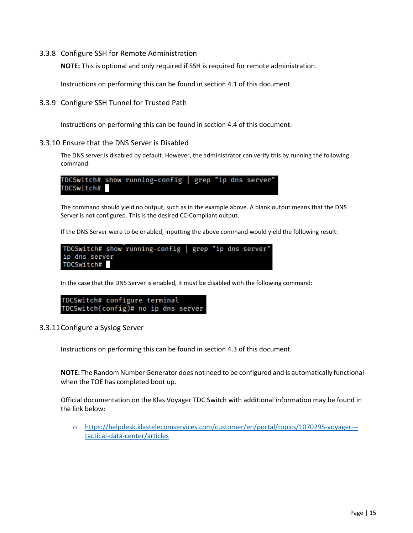### <span id="page-14-0"></span>3.3.8 Configure SSH for Remote Administration

**NOTE:** This is optional and only required if SSH is required for remote administration.

Instructions on performing this can be found in section 4.1 of this document.

<span id="page-14-1"></span>3.3.9 Configure SSH Tunnel for Trusted Path

Instructions on performing this can be found in section 4.4 of this document.

#### 3.3.10 Ensure that the DNS Server is Disabled

<span id="page-14-2"></span>The DNS server is disabled by default. However, the administrator can verify this by running the following command:

TDCSwitch# show running-config | grep "ip dns server' TDCSwitch#

The command should yield no output, such as in the example above. A blank output means that the DNS Server is not configured. This is the desired CC-Compliant output.

If the DNS Server were to be enabled, inputting the above command would yield the following result:



In the case that the DNS Server is enabled, it must be disabled with the following command:

TDCSwitch# configure terminal TDCSwitch(config)# no ip dns server

<span id="page-14-3"></span>3.3.11Configure a Syslog Server

Instructions on performing this can be found in section 4.3 of this document.

**NOTE:** The Random Number Generator does not need to be configured and is automatically functional when the TOE has completed boot up.

Official documentation on the Klas Voyager TDC Switch with additional information may be found in the link below:

o [https://helpdesk.klastelecomservices.com/customer/en/portal/topics/1070295-voyager--](https://helpdesk.klastelecomservices.com/customer/en/portal/topics/1070295-voyager---tactical-data-center/articles) [tactical-data-center/articles](https://helpdesk.klastelecomservices.com/customer/en/portal/topics/1070295-voyager---tactical-data-center/articles)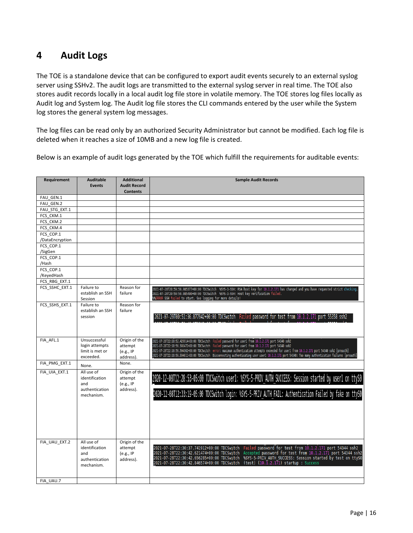# <span id="page-15-0"></span>**4 Audit Logs**

The TOE is a standalone device that can be configured to export audit events securely to an external syslog server using SSHv2. The audit logs are transmitted to the external syslog server in real time. The TOE also stores audit records locally in a local audit log file store in volatile memory. The TOE stores log files locally as Audit log and System log. The Audit log file stores the CLI commands entered by the user while the System log stores the general system log messages.

The log files can be read only by an authorized Security Administrator but cannot be modified. Each log file is deleted when it reaches a size of 10MB and a new log file is created.

Below is an example of audit logs generated by the TOE which fulfill the requirements for auditable events:

| <b>Requirement</b>   | <b>Auditable</b><br><b>Events</b> | <b>Additional</b><br><b>Audit Record</b><br><b>Contents</b> | <b>Sample Audit Records</b>                                                                                                                                                                      |
|----------------------|-----------------------------------|-------------------------------------------------------------|--------------------------------------------------------------------------------------------------------------------------------------------------------------------------------------------------|
| FAU GEN.1            |                                   |                                                             |                                                                                                                                                                                                  |
| FAU GEN.2            |                                   |                                                             |                                                                                                                                                                                                  |
| FAU STG EXT.1        |                                   |                                                             |                                                                                                                                                                                                  |
| FCS CKM.1            |                                   |                                                             |                                                                                                                                                                                                  |
| FCS CKM.2            |                                   |                                                             |                                                                                                                                                                                                  |
| FCS CKM.4            |                                   |                                                             |                                                                                                                                                                                                  |
| FCS COP.1            |                                   |                                                             |                                                                                                                                                                                                  |
| /DataEncryption      |                                   |                                                             |                                                                                                                                                                                                  |
| FCS COP.1<br>/SigGen |                                   |                                                             |                                                                                                                                                                                                  |
| FCS COP.1            |                                   |                                                             |                                                                                                                                                                                                  |
| /Hash                |                                   |                                                             |                                                                                                                                                                                                  |
| FCS COP.1            |                                   |                                                             |                                                                                                                                                                                                  |
| /KeyedHash           |                                   |                                                             |                                                                                                                                                                                                  |
| FCS RBG EXT.1        |                                   |                                                             |                                                                                                                                                                                                  |
| FCS SSHC EXT.1       | Failure to                        | Reason for                                                  | 2021-07-28T20:59:50.985377+00:00 TDCSwitch %SYS-3-SSH: RSA host key for 10.1.2.171 has changed and you have requested strict checking.                                                           |
|                      | establish an SSH                  | failure                                                     | 2021-07-28T20:59:50.985490+00:00 TDCSwitch %SYS-3-SSH: Host key verification failed.                                                                                                             |
|                      | Session                           |                                                             | %%ERROR SSH failed to start. See logging for more details!                                                                                                                                       |
| FCS SSHS EXT.1       | Failure to                        | Reason for                                                  |                                                                                                                                                                                                  |
|                      | establish an SSH                  | failure                                                     |                                                                                                                                                                                                  |
|                      | session                           |                                                             | 2021-07-29T00:51:36.877942+00:00 TDCSwitch Failed password for test from 10.1.2.171 port 55358 ssh2                                                                                              |
|                      |                                   |                                                             |                                                                                                                                                                                                  |
|                      |                                   |                                                             |                                                                                                                                                                                                  |
| FIA AFL.1            | Unsuccessful                      | Origin of the                                               | 2021-07-28T22:18:52.429914+00:00 TDCSwitch Failed password for user1 from 10.1.2.171 port 54340 ssh2                                                                                             |
|                      | login attempts                    | attempt                                                     | 2021-07-28T22:18:56.593472+00:00 TDCSwitch Failed password for user1 from 10.1.2.171 port 54340 ssh2                                                                                             |
|                      | limit is met or                   | (e.g., IP)                                                  | 2021-07-28T22:18:56.594302+00:00 TDCSwitch error: maximum authentication attempts exceeded for userl from 10.1.2.171 port 54340 ssh2 [preauth]                                                   |
|                      | exceeded.                         | address).                                                   | 2021-07-28T22:18:56.594611+00:00 TDCSwitch Disconnecting authenticating user user1 10.1.2.171 port 54340: Too many authentication failures [preauth]                                             |
| FIA PMG EXT.1        | None.                             | None.                                                       |                                                                                                                                                                                                  |
| FIA UIA EXT.1        | All use of                        | Origin of the                                               |                                                                                                                                                                                                  |
|                      | identification                    | attempt                                                     | 2020-12-08T12:28:53-05:00 TDCSwitch user1: %SYS-5-PRIV AUTH SUCCESS: Session started by user1 on ttyS0                                                                                           |
|                      | and                               | (e.g., IP)                                                  |                                                                                                                                                                                                  |
|                      | authentication                    | address).                                                   | 2020-12-08T12:33:19-05:00 TDCSwitch login: %SYS-5-PRIV AUTH FAIL: Authentication Failed by fake on ttyS0                                                                                         |
|                      | mechanism.                        |                                                             |                                                                                                                                                                                                  |
|                      |                                   |                                                             |                                                                                                                                                                                                  |
|                      |                                   |                                                             |                                                                                                                                                                                                  |
|                      |                                   |                                                             |                                                                                                                                                                                                  |
|                      |                                   |                                                             |                                                                                                                                                                                                  |
|                      |                                   |                                                             |                                                                                                                                                                                                  |
|                      |                                   |                                                             |                                                                                                                                                                                                  |
| FIA UAU EXT.2        | All use of                        | Origin of the                                               |                                                                                                                                                                                                  |
|                      | identification                    | attempt                                                     | Failed password for test from 10.1.2.171 port 54344 ssh2<br>2021-07-28T22:30:37.741912+00:00 TDCSwitch                                                                                           |
|                      | and                               | (e.g., IP)                                                  | Accepted password for test from 10.1.2.171 port 54344 ssh2<br>2021-07-28T22:30:42.621474+00:00 TDCSwitch                                                                                         |
|                      | authentication                    | address).                                                   | 2021-07-28T22:30:42.656285+00:00 TDCSwitch %SYS-5-PRIV AUTH SUCCESS: Session started by test on ttyS0<br>$(test)$ $(10.1.2.171)$ startup : Success<br>2021-07-28T22:30:42.846574+00:00 TDCSwitch |
|                      | mechanism.                        |                                                             |                                                                                                                                                                                                  |
|                      |                                   |                                                             |                                                                                                                                                                                                  |
| FIA UAU.7            |                                   |                                                             |                                                                                                                                                                                                  |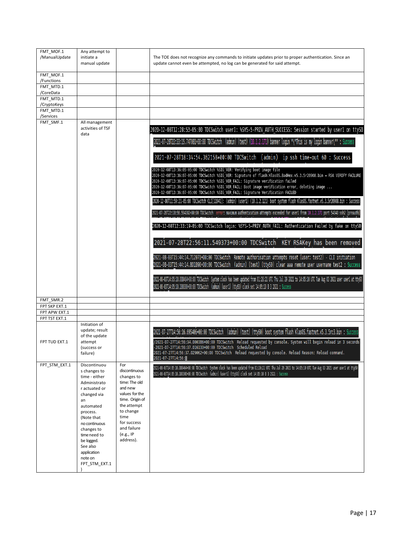| FMT_MOF.1<br>/ManualUpdate     | Any attempt to<br>initiate a<br>manual update                                                                                                                                                                                                                  |                                                                                                                                                                                                 | The TOE does not recognize any commands to initiate updates prior to proper authentication. Since an<br>update cannot even be attempted, no log can be generated for said attempt.                                                                                                                                                                                                               |
|--------------------------------|----------------------------------------------------------------------------------------------------------------------------------------------------------------------------------------------------------------------------------------------------------------|-------------------------------------------------------------------------------------------------------------------------------------------------------------------------------------------------|--------------------------------------------------------------------------------------------------------------------------------------------------------------------------------------------------------------------------------------------------------------------------------------------------------------------------------------------------------------------------------------------------|
| FMT_MOF.1<br>/Functions        |                                                                                                                                                                                                                                                                |                                                                                                                                                                                                 |                                                                                                                                                                                                                                                                                                                                                                                                  |
| FMT MTD.1                      |                                                                                                                                                                                                                                                                |                                                                                                                                                                                                 |                                                                                                                                                                                                                                                                                                                                                                                                  |
| /CoreData<br>FMT MTD.1         |                                                                                                                                                                                                                                                                |                                                                                                                                                                                                 |                                                                                                                                                                                                                                                                                                                                                                                                  |
| /CryptoKeys<br>FMT_MTD.1       |                                                                                                                                                                                                                                                                |                                                                                                                                                                                                 |                                                                                                                                                                                                                                                                                                                                                                                                  |
| /Services                      |                                                                                                                                                                                                                                                                |                                                                                                                                                                                                 |                                                                                                                                                                                                                                                                                                                                                                                                  |
| FMT_SMF.1                      | All management<br>activities of TSF<br>data                                                                                                                                                                                                                    |                                                                                                                                                                                                 | 2020-12-08T12:28:53-05:00 TDCSwitch user1: %SYS-5-PRIV AUTH SUCCESS: Session started by user1 on ttyS0                                                                                                                                                                                                                                                                                           |
|                                |                                                                                                                                                                                                                                                                |                                                                                                                                                                                                 | 2021-07-28T22:33:15.747081+00:00 TDCSwitch (admin) (test) (10.1.2.171) banner login "\"This is my login banner\"" : Success                                                                                                                                                                                                                                                                      |
|                                |                                                                                                                                                                                                                                                                |                                                                                                                                                                                                 | 2021-07-28T18:34:54.362158+00:00 TDCSwitch (admin) ip ssh time-out 60 : Success<br>2020-12-08T13:36:05-05:00 TDCSwitch %SIG_VER: Verifying boot image file                                                                                                                                                                                                                                       |
|                                |                                                                                                                                                                                                                                                                |                                                                                                                                                                                                 | 2020-12-08T13:36:07-05:00 TDCSwitch %SIG_VER: Signature of flash:KlasOS.BadHex.v5.3.5r20908.bin = RSA VERIFY FAILURE<br>2020-12-08T13:36:07-05:00 TDCSwitch %SIG_VER_FAIL: Signature verification failed<br>2020-12-08T13:36:07-05:00 TDCSwitch %SIG VER FAIL: Boot image verification error, deleting image<br>2020-12-08T13:36:07-05:00 TDCSwitch %SIG_VER_FAIL: Signature Verification FAILED |
|                                |                                                                                                                                                                                                                                                                |                                                                                                                                                                                                 | 2020-12-08T11:59:21-05:00 TDCSwitch CLI[11941]: (admin) (user1) (10.1.2.121) boot system flash KlasOS.fastnet.v5.3.5r20908.bin : Success                                                                                                                                                                                                                                                         |
|                                |                                                                                                                                                                                                                                                                |                                                                                                                                                                                                 | 2021-07-28T22:18:56.594302+00:00 TDCSwitch error: maximum authentication attempts exceeded for user1 from 10.1.2.171 port 54340 ssh2 [preauth]                                                                                                                                                                                                                                                   |
|                                |                                                                                                                                                                                                                                                                |                                                                                                                                                                                                 | 2020-12-08T12:33:19-05:00 TDCSwitch login: %SYS-5-PRIV_AUTH_FAIL: Authentication Failed by fake on ttyS0                                                                                                                                                                                                                                                                                         |
|                                |                                                                                                                                                                                                                                                                |                                                                                                                                                                                                 | 2021-07-28T22:56:11.549373+00:00 TDCSwitch KEY RSAKey has been removed                                                                                                                                                                                                                                                                                                                           |
|                                |                                                                                                                                                                                                                                                                |                                                                                                                                                                                                 | 2021-08-03T15:44:14.712071+00:00 TDCSwitch Remote authorisation attempts reset (user: test2) - CLI initiation<br>2021-08-03T15:44:14.801890+00:00 TDCSwitch (admin) (test) (ttyS0) clear aaa remote user username test2 : Success                                                                                                                                                                |
|                                |                                                                                                                                                                                                                                                                |                                                                                                                                                                                                 | 2021-08-03T14:05:10.008464+00:00 TDCSwitch System clock has been updated from 01:26:21 UTC Thu Jul 29 2021 to 14:05:10 UTC Tue Aug 03 2021 user user1 at ttyS0<br>2021-08-03T14:05:10.180300+00:00 TDCSwitch (admin) (user1) (ttyS0) clock set 14:05:10 8 3 2021 : Success                                                                                                                       |
| FMT SMR.2                      |                                                                                                                                                                                                                                                                |                                                                                                                                                                                                 |                                                                                                                                                                                                                                                                                                                                                                                                  |
| FPT SKP EXT.1<br>FPT APW EXT.1 |                                                                                                                                                                                                                                                                |                                                                                                                                                                                                 |                                                                                                                                                                                                                                                                                                                                                                                                  |
| FPT TST EXT.1                  |                                                                                                                                                                                                                                                                |                                                                                                                                                                                                 |                                                                                                                                                                                                                                                                                                                                                                                                  |
| FPT TUD EXT.1                  | Initiation of<br>update; result<br>of the update<br>attempt                                                                                                                                                                                                    |                                                                                                                                                                                                 | 2021-07-27T14:56:16.695406+00:00 TDCSwitch (admin) (test) (ttyS0) boot system flash KlasOS.fastnet.v5.3.5rc3.bin : Success<br>/2021-07-27T14:56:34.000386+00:00 TDCSwitch Reload requested by console. System will begin reload in 3 seconds                                                                                                                                                     |
|                                | (success or<br>failure)                                                                                                                                                                                                                                        |                                                                                                                                                                                                 | -2021-07-27T14:56:37.016133+00:00 TDCSwitch                                   Scheduled Reload<br>2021-07-27T14:56:37.029062+00:00 TDCSwitch Reload requested by console. Reload Reason: Reload command.<br>2021-07-27T14:56:                                                                                                                                                                    |
| FPT_STM_EXT.1                  | Discontinuou<br>s changes to<br>time - either<br>Administrato<br>r actuated or<br>changed via<br>an<br>automated<br>process.<br>(Note that<br>no continuous<br>changes to<br>time need to<br>be logged.<br>See also<br>application<br>note on<br>FPT_STM_EXT.1 | For<br>discontinuous<br>changes to<br>time: The old<br>and new<br>values for the<br>time. Origin of<br>the attempt<br>to change<br>time<br>for success<br>and failure<br>(e.g., IP<br>address). | 2021-08-03T14:05:10.088464+00:00 TDCSwitch System clock has been updated from 01:26:21 UTC Thu Jul 29 2021 to 14:05:10 UTC Tue Aug 03 2021 user user1 at ttyS0<br>2021-08-03T14:05:10.180300+00:00 TDCSwitch (admin) (userl) (ttyS0) clock set 14:05:10 8 3 2021 : Success                                                                                                                       |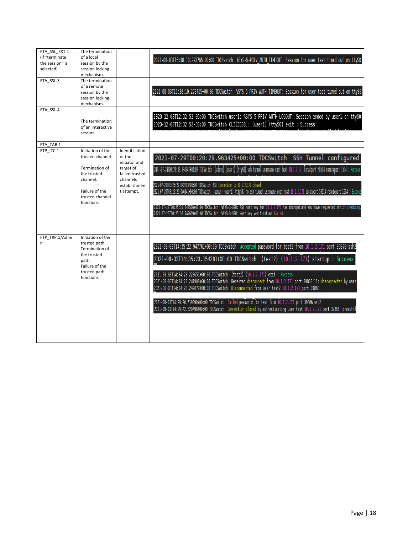| FTA_SSL_EXT.1<br>(if "terminate<br>the session" is<br>selected)<br>FTA SSL.3<br>FTA SSL.4 | The termination<br>of a local<br>session by the<br>session locking<br>mechanism.<br>The termination<br>of a remote<br>session by the<br>session locking<br>mechanism.<br>The termination<br>of an interactive |                                                                                                  | 2021-08-03T15:38:10.273765+00:00 TDCSwitch %SYS-5-PRIV AUTH TIMEOUT: Session for user test timed out on ttyS0<br>2021-08-03T15:38:10.273765+00:00 TDCSwitch %SYS-5-PRIV_AUTH_TIMEOUT: Session for user test timed out on ttyS0<br>2020-12-08T12:32:52-05:00 TDCSwitch user1: %SYS-5-PRIV_AUTH_LOGOUT: Session ended by user1 on ttyS0<br>2020-12-08T12:32:52-05:00 TDCSwitch CLI[3588]: (user1) (ttys0) exit : Success                                                                                                                                                                                                                                                                                                                  |
|-------------------------------------------------------------------------------------------|---------------------------------------------------------------------------------------------------------------------------------------------------------------------------------------------------------------|--------------------------------------------------------------------------------------------------|-----------------------------------------------------------------------------------------------------------------------------------------------------------------------------------------------------------------------------------------------------------------------------------------------------------------------------------------------------------------------------------------------------------------------------------------------------------------------------------------------------------------------------------------------------------------------------------------------------------------------------------------------------------------------------------------------------------------------------------------|
|                                                                                           | session.                                                                                                                                                                                                      |                                                                                                  |                                                                                                                                                                                                                                                                                                                                                                                                                                                                                                                                                                                                                                                                                                                                         |
| FTA TAB.1<br>FTP ITC.1                                                                    | Initiation of the                                                                                                                                                                                             | Identification                                                                                   |                                                                                                                                                                                                                                                                                                                                                                                                                                                                                                                                                                                                                                                                                                                                         |
|                                                                                           | trusted channel.<br>Termination of<br>the trusted<br>channel.<br>Failure of the<br>trusted channel<br>functions.                                                                                              | of the<br>initiator and<br>target of<br>failed trusted<br>channels<br>establishmen<br>t attempt. | 2021-07-29T00:20:29.963425+00:00 TDCSwitch SSH Tunnel configured<br>2021-07-29T00:20:30.134047+00:00 TDCSwitch (admin) (user1) (ttyS0) ssh tunnel username root host 10.1.2.171 localport 50514 remoteport 1514 : Success<br>2021-07-29T00:26:29.842798+00:00 TDCSwitch SSH Connection to 10.1.2.171 closed<br>2021-07-29T00:26:29.946841+00:00 TDCSwitch (admin) (userl) (ttyS0) no ssh tunnel username root host 10.1.2.171 localport 50514 remoteport 1514 : Success<br>2021-07-29T00:25:10.742526+00:00 TDCSwitch %SYS-3-SSH: RSA host key for 10.1.2.171 has changed and you have requested strict checking.<br>2021-07-29T00:25:10.742619+00:00 TDCSwitch %SYS-3-SSH: Host key verification failed                                |
| FTP TRP.1/Admi<br>n                                                                       | Initiation of the<br>trusted path.<br>Termination of<br>the trusted<br>path.<br>Failure of the<br>trusted path<br>functions                                                                                   |                                                                                                  | 2021-08-03T14:35:22.947761+00:00 TDCSwitch Accepted password for test2 from 10.1.2.171 port 39870 ssh2<br>2021-08-03T14:35:23.154281+00:00 TDCSwitch (test2) (10.1.2.171) startup : Success<br>2021-08-03T14:34:28.223651+00:00 TDCSwitch (test2) (10.1.2.171) exit : Success<br>2021-08-03T14:34:28.241908+00:00 TDCSwitch Received disconnect from 10.1.2.171 port 39868:11: disconnected by user<br>2021-08-03T14:34:28.242079+00:00 TDCSwitch Disconnected from user test2 10.1.2.171 port 39868<br>2021-08-03T14:29:26.519390+00:00 TDCSwitch Failed password for test from 10.1.2.171 port 39866 ssh2<br>2021-08-03T14:29:42.520498+00:00 TDCSwitch Connection closed by authenticating user test 10.1.2.171 port 39866 [preauth] |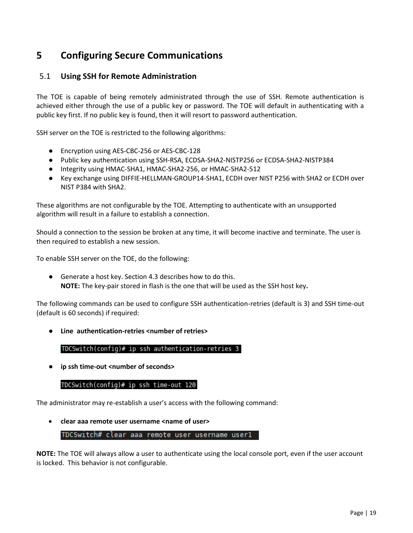# <span id="page-18-0"></span>**5 Configuring Secure Communications**

# <span id="page-18-1"></span>5.1 **Using SSH for Remote Administration**

The TOE is capable of being remotely administrated through the use of SSH. Remote authentication is achieved either through the use of a public key or password. The TOE will default in authenticating with a public key first. If no public key is found, then it will resort to password authentication.

SSH server on the TOE is restricted to the following algorithms:

- Encryption using AES-CBC-256 or AES-CBC-128
- Public key authentication using SSH-RSA, ECDSA-SHA2-NISTP256 or ECDSA-SHA2-NISTP384
- Integrity using HMAC-SHA1, HMAC-SHA2-256, or HMAC-SHA2-512
- Key exchange using DIFFIE-HELLMAN-GROUP14-SHA1, ECDH over NIST P256 with SHA2 or ECDH over NIST P384 with SHA2.

These algorithms are not configurable by the TOE. Attempting to authenticate with an unsupported algorithm will result in a failure to establish a connection.

Should a connection to the session be broken at any time, it will become inactive and terminate. The user is then required to establish a new session.

To enable SSH server on the TOE, do the following:

● Generate a host key. Section 4.3 describes how to do this. **NOTE:** The key-pair stored in flash is the one that will be used as the SSH host key**.**

The following commands can be used to configure SSH authentication-retries (default is 3) and SSH time-out (default is 60 seconds) if required:

● **Line authentication-retries <number of retries>**

### TDCSwitch(config)# ip ssh authentication-retries 3

● **ip ssh time-out <number of seconds>**

### TDCSwitch(config)# ip ssh time-out 120

The administrator may re-establish a user's access with the following command:

• **clear aaa remote user username <name of user>**

TDCSwitch# clear aaa remote user username userl

**NOTE:** The TOE will always allow a user to authenticate using the local console port, even if the user account is locked. This behavior is not configurable.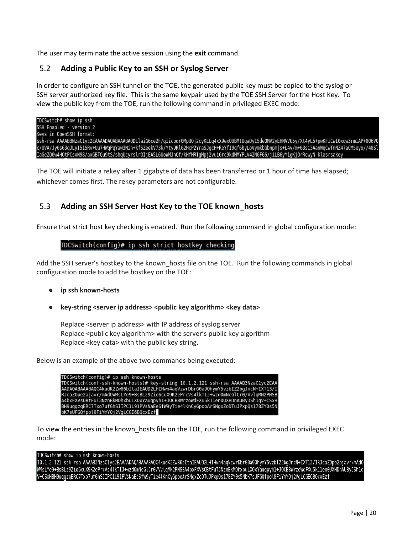The user may terminate the active session using the **exit** command.

# <span id="page-19-0"></span>5.2 **Adding a Public Key to an SSH or Syslog Server**

In order to configure an SSH tunnel on the TOE, the generated public key must be copied to the syslog or SSH server authorized key file. This is the same keypair used by the TOE SSH Server for the Host Key. To view the public key from the TOE, run the following command in privileged EXEC mode:

TDCSwitch# show ip ssh SSH Enabled - version 2 Keys in OpenSSH format: ssh-rsa AAAAB3NzaClyc2EAAAADAQABAAABAQDLlaiG6ce2F/gIicodr0MpUQj2cyKLLg4xX9exOUBMtUqaDy15deOMV2yEHNVVU5y/Xt4yL5+pwKFiCwI0xqw3rmiAP+806VQ c/UVA/JyGs63qJLyI515Rv+Uu7HWqPqYaw3Nin+kfSZeekV73k/Yty9RlG2HcP2YraSJgcH+ReYfI9qf6byLoVymkbGbnpmjs+L4v/m+63si3AanWqCwTmNZ47aCM5eyo//48Sl IaGeZQ0w4HOtPCsxN98/axGBTQu9tS/shqUcyrslrOIjEA5L6UoWMJnQf/kHfMRIqMpj2vui0rc9kdMMYPLV42NGFG6/jiLB6yY1qKj0rRcwyN klasrsakey

The TOE will initiate a rekey after 1 gigabyte of data has been transferred or 1 hour of time has elapsed; whichever comes first. The rekey parameters are not configurable.

# <span id="page-19-1"></span>5.3 **Adding an SSH Server Host Key to the TOE known\_hosts**

Ensure that strict host key checking is enabled. Run the following command in global configuration mode:

### TDCSwitch(config)# ip ssh strict hostkey checking

Add the SSH server's hostkey to the known\_hosts file on the TOE. Run the following commands in global configuration mode to add the hostkey on the TOE:

- **ip ssh known-hosts**
- **key-string <server ip address> <public key algorithm> <key data>**

Replace <server ip address> with IP address of syslog server Replace <public key algorithm> with the server's public key algorithm Replace <key data> with the public key string.

Below is an example of the above two commands being executed:



To view the entries in the known\_hosts file on the TOE, run the following command in privileged EXEC mode:

### TDCSwitch# show ip ssh known-hosts

10.1.2.121 ssh-rsa AAAAB3NzaC1yc2EAAAADAQABAAABAQC4kudK2Zw86bItaIEAUD2LHIHwn4aqVzwrDbrG0a90hymY5vzbIZ2bgJncN+IXT13/IRJcaZ0pe2ajavr/mAd0 /wMsLYe9+BsBLz9Zio6cuX9K2ePrcVs4lkTIJ+wzd0mNcGlCr0/VvlqMN2PNSBA4bxFXVsOBtFuT3NznBkMDhxbuLXOxYauqpyh1+JOCB8WrzoWdFXu5k11en0UXHDnAUBy3Sh1q V+CSxHBH9uqgzqERC7Txo7ufGhSIIPC1L91PVsNaEeSfW9yTie4lKnCyGpooArSNgxZoDTuJPxpQs178ZY0s5NbK7sUFGQfpol8FiYmYQj2VgLCGE6BQcxEzf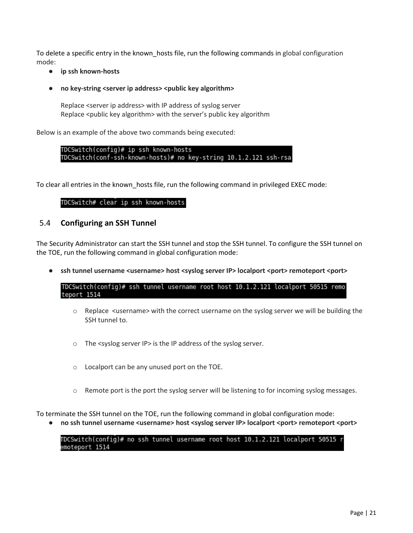To delete a specific entry in the known hosts file, run the following commands in global configuration mode:

● **ip ssh known-hosts**

### ● **no key-string <server ip address> <public key algorithm>**

Replace <server ip address> with IP address of syslog server Replace <public key algorithm> with the server's public key algorithm

Below is an example of the above two commands being executed:

TDCSwitch(config)# ip ssh known-hosts TDCSwitch(conf-ssh-known-hosts)# no key-string 10.1.2.121 ssh-rsa

To clear all entries in the known\_hosts file, run the following command in privileged EXEC mode:

### TDCSwitch# clear ip ssh known-hosts

### <span id="page-20-0"></span>5.4 **Configuring an SSH Tunnel**

The Security Administrator can start the SSH tunnel and stop the SSH tunnel. To configure the SSH tunnel on the TOE, run the following command in global configuration mode:

● **ssh tunnel username <username> host <syslog server IP> localport <port> remoteport <port>**

TDCSwitch(config)# ssh tunnel username root host 10.1.2.121 localport 50515 remo teport 1514

- $\circ$  Replace <username> with the correct username on the syslog server we will be building the SSH tunnel to.
- o The <syslog server IP> is the IP address of the syslog server.
- o Localport can be any unused port on the TOE.
- $\circ$  Remote port is the port the syslog server will be listening to for incoming syslog messages.

To terminate the SSH tunnel on the TOE, run the following command in global configuration mode:

● **no ssh tunnel username <username> host <syslog server IP> localport <port> remoteport <port>**

TDCSwitch(config)# no ssh tunnel username root host 10.1.2.121 localport 50515 r emoteport 1514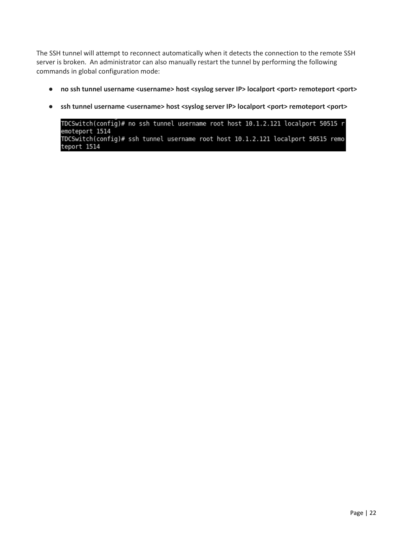The SSH tunnel will attempt to reconnect automatically when it detects the connection to the remote SSH server is broken. An administrator can also manually restart the tunnel by performing the following commands in global configuration mode:

- $\bullet$  no ssh tunnel username <username> host <syslog server IP> localport <port> remoteport <port>
- ssh tunnel username <username> host <syslog server IP> localport <port> remoteport <port>

TDCSwitch(config)# no ssh tunnel username root host 10.1.2.121 localport 50515 r<br>emoteport 1514 TDCSwitch(config)# ssh tunnel username root host 10.1.2.121 localport 50515 remo teport 1514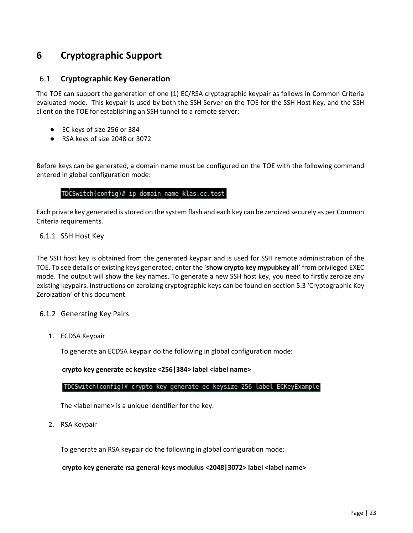# <span id="page-22-0"></span>**6 Cryptographic Support**

### <span id="page-22-1"></span>6.1 **Cryptographic Key Generation**

The TOE can support the generation of one (1) EC/RSA cryptographic keypair as follows in Common Criteria evaluated mode. This keypair is used by both the SSH Server on the TOE for the SSH Host Key, and the SSH client on the TOE for establishing an SSH tunnel to a remote server:

- EC keys of size 256 or 384
- RSA keys of size 2048 or 3072

Before keys can be generated, a domain name must be configured on the TOE with the following command entered in global configuration mode:

### TDCSwitch(config)# ip domain-name klas.cc.test

Each private key generated is stored on the system flash and each key can be zeroized securely as per Common Criteria requirements.

### <span id="page-22-2"></span>6.1.1 SSH Host Key

The SSH host key is obtained from the generated keypair and is used for SSH remote administration of the TOE. To see details of existing keys generated, enter the '**show crypto key mypubkey all'** from privileged EXEC mode. The output will show the key names. To generate a new SSH host key, you need to firstly zeroize any existing keypairs. Instructions on zeroizing cryptographic keys can be found on section 5.3 'Cryptographic Key Zeroization' of this document.

### <span id="page-22-3"></span>6.1.2 Generating Key Pairs

1. ECDSA Keypair

To generate an ECDSA keypair do the following in global configuration mode:

**crypto key generate ec keysize <256|384> label <label name>**

|TDCSwitch(config)# crypto key generate ec keysize 256 label ECKeyExample

The <label name> is a unique identifier for the key.

2. RSA Keypair

To generate an RSA keypair do the following in global configuration mode:

**crypto key generate rsa general-keys modulus <2048|3072> label <label name>**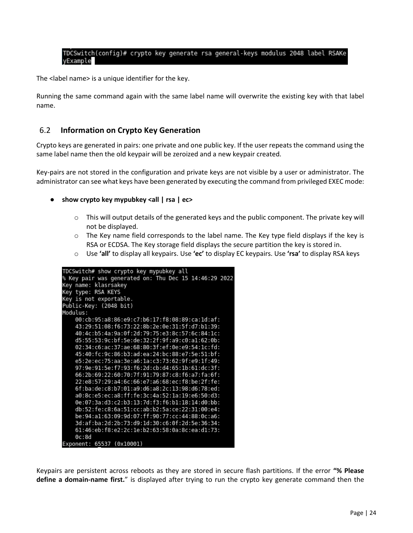# TDCSwitch(config)# crypto key generate rsa general-keys modulus 2048 label RSAKe<br>yExample

The <label name> is a unique identifier for the key.

Running the same command again with the same label name will overwrite the existing key with that label name.

### <span id="page-23-0"></span>6.2 **Information on Crypto Key Generation**

Crypto keys are generated in pairs: one private and one public key. If the user repeats the command using the same label name then the old keypair will be zeroized and a new keypair created.

Key-pairs are not stored in the configuration and private keys are not visible by a user or administrator. The administrator can see what keys have been generated by executing the command from privileged EXEC mode:

- **show crypto key mypubkey <all | rsa | ec>**
	- $\circ$  This will output details of the generated keys and the public component. The private key will not be displayed.
	- $\circ$  The Key name field corresponds to the label name. The Key type field displays if the key is RSA or ECDSA. The Key storage field displays the secure partition the key is stored in.
	- o Use **'all'** to display all keypairs. Use **'ec'** to display EC keypairs. Use **'rsa'** to display RSA keys



Keypairs are persistent across reboots as they are stored in secure flash partitions. If the error **"% Please define a domain-name first.**" is displayed after trying to run the crypto key generate command then the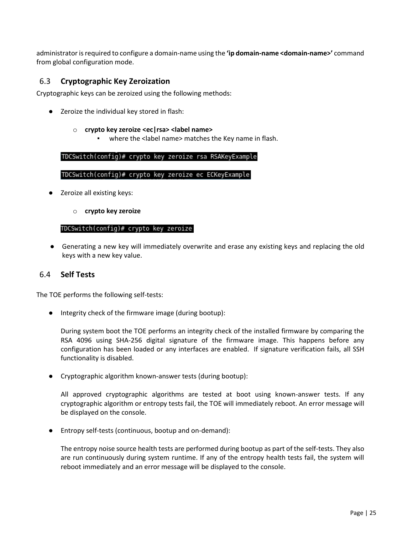administrator is required to configure a domain-name using the **'ip domain-name <domain-name>'** command from global configuration mode.

## <span id="page-24-0"></span>6.3 **Cryptographic Key Zeroization**

Cryptographic keys can be zeroized using the following methods:

Zeroize the individual key stored in flash:

### o **crypto key zeroize <ec|rsa> <label name>**

where the <label name> matches the Key name in flash.

TDCSwitch(config)# crypto key zeroize rsa RSAKeyExample

### TDCSwitch(config)# crypto key zeroize ec ECKeyExample

- Zeroize all existing keys:
	- o **crypto key zeroize**

#### TDCSwitch(config)# crypto key zeroize

● Generating a new key will immediately overwrite and erase any existing keys and replacing the old keys with a new key value.

### <span id="page-24-1"></span>6.4 **Self Tests**

The TOE performs the following self-tests:

● Integrity check of the firmware image (during bootup):

During system boot the TOE performs an integrity check of the installed firmware by comparing the RSA 4096 using SHA-256 digital signature of the firmware image. This happens before any configuration has been loaded or any interfaces are enabled. If signature verification fails, all SSH functionality is disabled.

● Cryptographic algorithm known-answer tests (during bootup):

All approved cryptographic algorithms are tested at boot using known-answer tests. If any cryptographic algorithm or entropy tests fail, the TOE will immediately reboot. An error message will be displayed on the console.

● Entropy self-tests (continuous, bootup and on-demand):

The entropy noise source health tests are performed during bootup as part of the self-tests. They also are run continuously during system runtime. If any of the entropy health tests fail, the system will reboot immediately and an error message will be displayed to the console.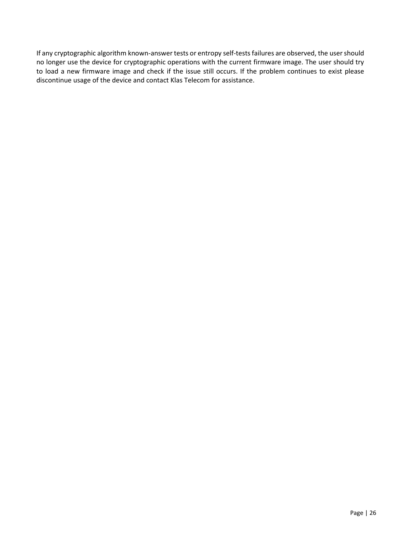If any cryptographic algorithm known-answer tests or entropy self-tests failures are observed, the user should no longer use the device for cryptographic operations with the current firmware image. The user should try to load a new firmware image and check if the issue still occurs. If the problem continues to exist please discontinue usage of the device and contact Klas Telecom for assistance.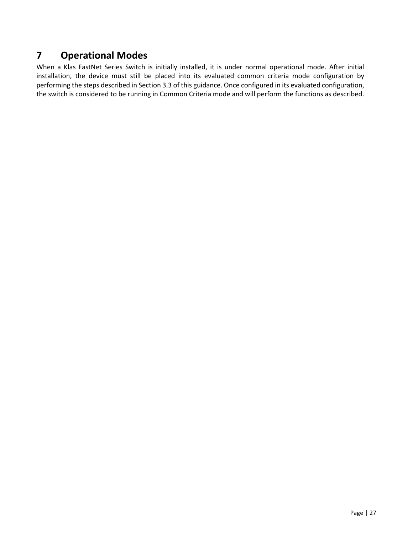# <span id="page-26-0"></span>**7 Operational Modes**

When a Klas FastNet Series Switch is initially installed, it is under normal operational mode. After initial installation, the device must still be placed into its evaluated common criteria mode configuration by performing the steps described in Section 3.3 of this guidance. Once configured in its evaluated configuration, the switch is considered to be running in Common Criteria mode and will perform the functions as described.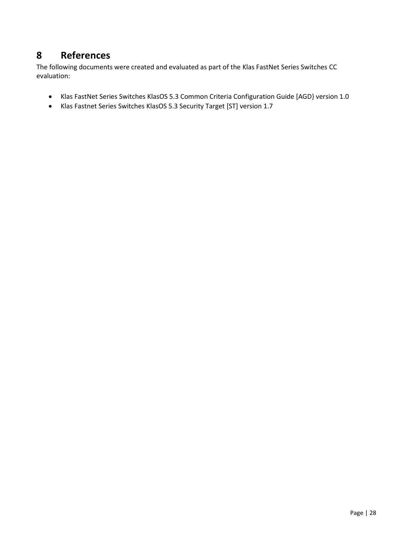# <span id="page-27-0"></span>**8 References**

The following documents were created and evaluated as part of the Klas FastNet Series Switches CC evaluation:

- Klas FastNet Series Switches KlasOS 5.3 Common Criteria Configuration Guide [AGD} version 1.0
- Klas Fastnet Series Switches KlasOS 5.3 Security Target [ST] version 1.7